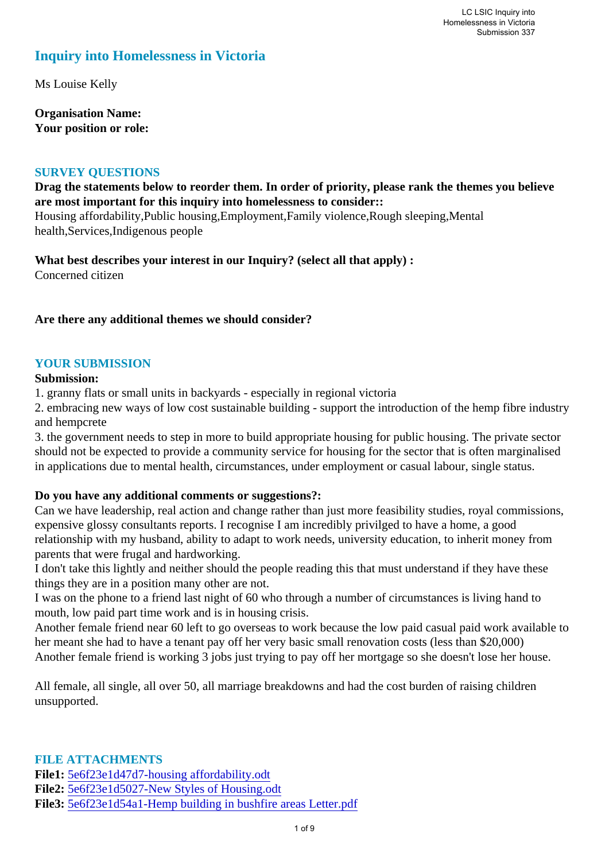### **Inquiry into Homelessness in Victoria**

Ms Louise Kelly

**Organisation Name: Your position or role:** 

#### **SURVEY QUESTIONS**

#### **Drag the statements below to reorder them. In order of priority, please rank the themes you believe are most important for this inquiry into homelessness to consider::**

Housing affordability,Public housing,Employment,Family violence,Rough sleeping,Mental health,Services,Indigenous people

**What best describes your interest in our Inquiry? (select all that apply) :**  Concerned citizen

#### **Are there any additional themes we should consider?**

#### **YOUR SUBMISSION**

#### **Submission:**

1. granny flats or small units in backyards - especially in regional victoria

2. embracing new ways of low cost sustainable building - support the introduction of the hemp fibre industry and hempcrete

3. the government needs to step in more to build appropriate housing for public housing. The private sector should not be expected to provide a community service for housing for the sector that is often marginalised in applications due to mental health, circumstances, under employment or casual labour, single status.

#### **Do you have any additional comments or suggestions?:**

Can we have leadership, real action and change rather than just more feasibility studies, royal commissions, expensive glossy consultants reports. I recognise I am incredibly privilged to have a home, a good relationship with my husband, ability to adapt to work needs, university education, to inherit money from parents that were frugal and hardworking.

I don't take this lightly and neither should the people reading this that must understand if they have these things they are in a position many other are not.

I was on the phone to a friend last night of 60 who through a number of circumstances is living hand to mouth, low paid part time work and is in housing crisis.

Another female friend near 60 left to go overseas to work because the low paid casual paid work available to her meant she had to have a tenant pay off her very basic small renovation costs (less than \$20,000) Another female friend is working 3 jobs just trying to pay off her mortgage so she doesn't lose her house.

All female, all single, all over 50, all marriage breakdowns and had the cost burden of raising children unsupported.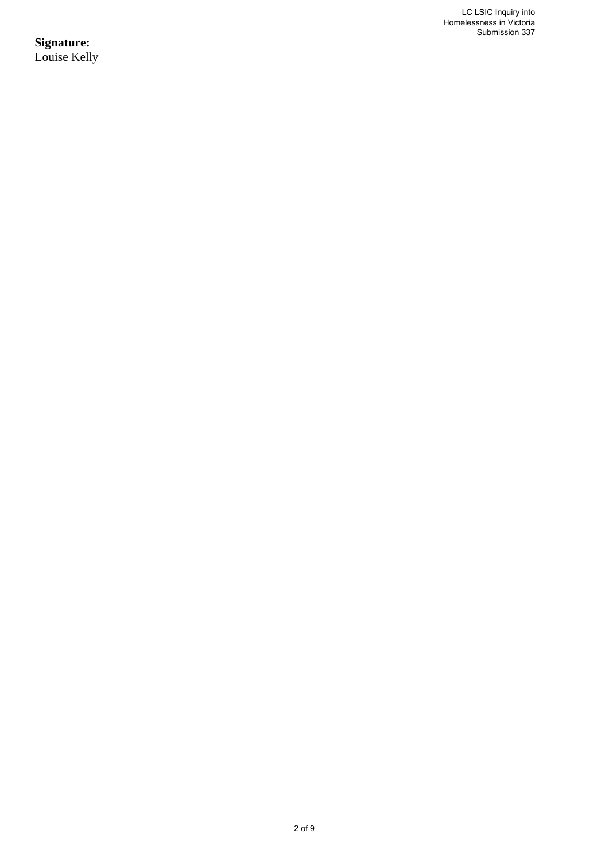LC LSIC Inquiry into Homelessness in Victoria Submission 337

**Signature:** Louise Kelly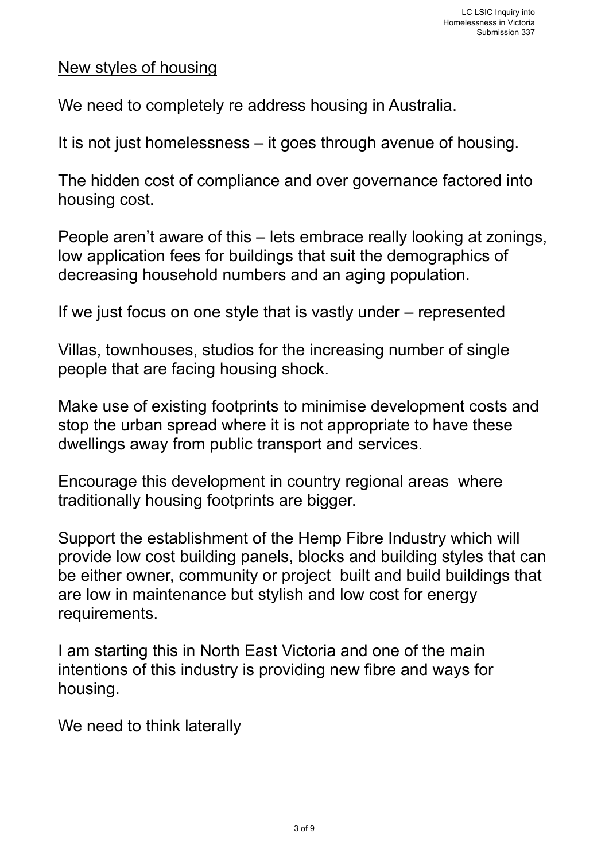## New styles of housing

We need to completely re address housing in Australia.

It is not just homelessness – it goes through avenue of housing.

The hidden cost of compliance and over governance factored into housing cost.

People aren't aware of this – lets embrace really looking at zonings, low application fees for buildings that suit the demographics of decreasing household numbers and an aging population.

If we just focus on one style that is vastly under – represented

Villas, townhouses, studios for the increasing number of single people that are facing housing shock.

Make use of existing footprints to minimise development costs and stop the urban spread where it is not appropriate to have these dwellings away from public transport and services.

Encourage this development in country regional areas where traditionally housing footprints are bigger.

Support the establishment of the Hemp Fibre Industry which will provide low cost building panels, blocks and building styles that can be either owner, community or project built and build buildings that are low in maintenance but stylish and low cost for energy requirements.

I am starting this in North East Victoria and one of the main intentions of this industry is providing new fibre and ways for housing.

We need to think laterally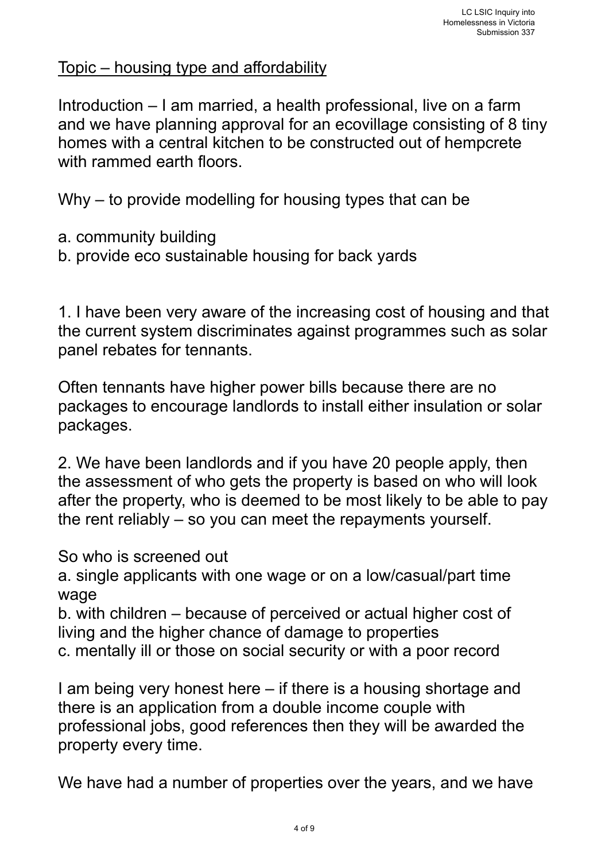# Topic – housing type and affordability

Introduction – I am married, a health professional, live on a farm and we have planning approval for an ecovillage consisting of 8 tiny homes with a central kitchen to be constructed out of hempcrete with rammed earth floors.

Why – to provide modelling for housing types that can be

- a. community building
- b. provide eco sustainable housing for back yards

1. I have been very aware of the increasing cost of housing and that the current system discriminates against programmes such as solar panel rebates for tennants.

Often tennants have higher power bills because there are no packages to encourage landlords to install either insulation or solar packages.

2. We have been landlords and if you have 20 people apply, then the assessment of who gets the property is based on who will look after the property, who is deemed to be most likely to be able to pay the rent reliably – so you can meet the repayments yourself.

So who is screened out

a. single applicants with one wage or on a low/casual/part time wage

b. with children – because of perceived or actual higher cost of living and the higher chance of damage to properties c. mentally ill or those on social security or with a poor record

I am being very honest here – if there is a housing shortage and there is an application from a double income couple with professional jobs, good references then they will be awarded the property every time.

We have had a number of properties over the years, and we have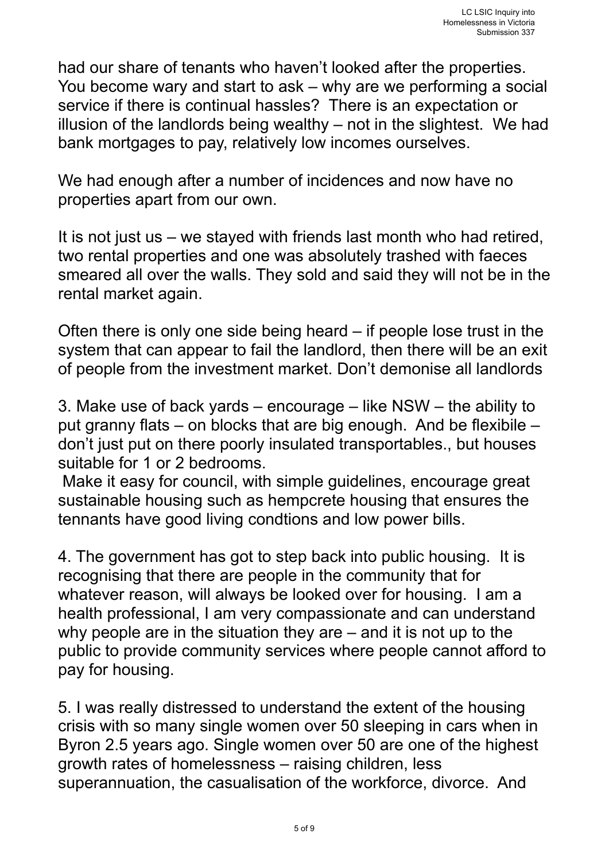had our share of tenants who haven't looked after the properties. You become wary and start to ask – why are we performing a social service if there is continual hassles? There is an expectation or illusion of the landlords being wealthy – not in the slightest. We had bank mortgages to pay, relatively low incomes ourselves.

We had enough after a number of incidences and now have no properties apart from our own.

It is not just us – we stayed with friends last month who had retired, two rental properties and one was absolutely trashed with faeces smeared all over the walls. They sold and said they will not be in the rental market again.

Often there is only one side being heard – if people lose trust in the system that can appear to fail the landlord, then there will be an exit of people from the investment market. Don't demonise all landlords

3. Make use of back yards – encourage – like NSW – the ability to put granny flats – on blocks that are big enough. And be flexibile – don't just put on there poorly insulated transportables., but houses suitable for 1 or 2 bedrooms.

 Make it easy for council, with simple guidelines, encourage great sustainable housing such as hempcrete housing that ensures the tennants have good living condtions and low power bills.

4. The government has got to step back into public housing. It is recognising that there are people in the community that for whatever reason, will always be looked over for housing. I am a health professional, I am very compassionate and can understand why people are in the situation they are – and it is not up to the public to provide community services where people cannot afford to pay for housing.

5. I was really distressed to understand the extent of the housing crisis with so many single women over 50 sleeping in cars when in Byron 2.5 years ago. Single women over 50 are one of the highest growth rates of homelessness – raising children, less superannuation, the casualisation of the workforce, divorce. And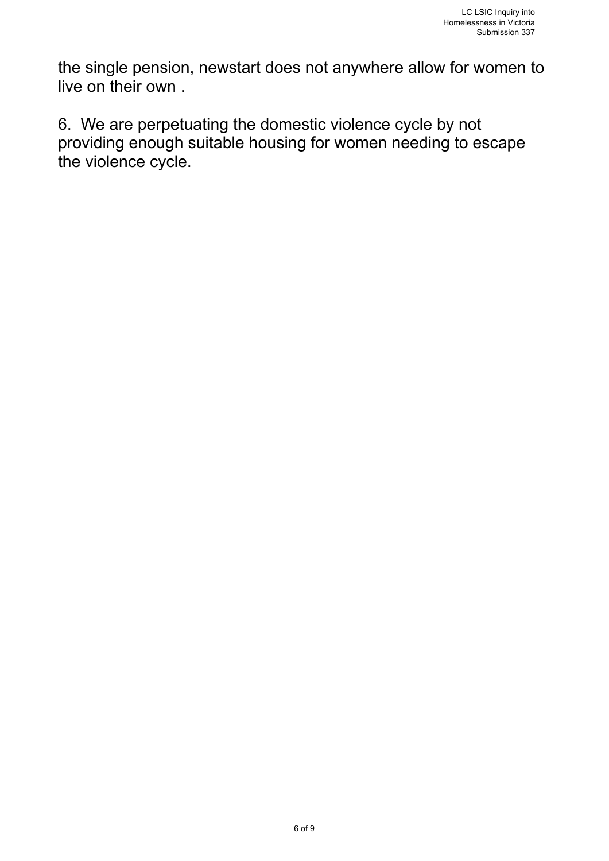the single pension, newstart does not anywhere allow for women to live on their own .

6. We are perpetuating the domestic violence cycle by not providing enough suitable housing for women needing to escape the violence cycle.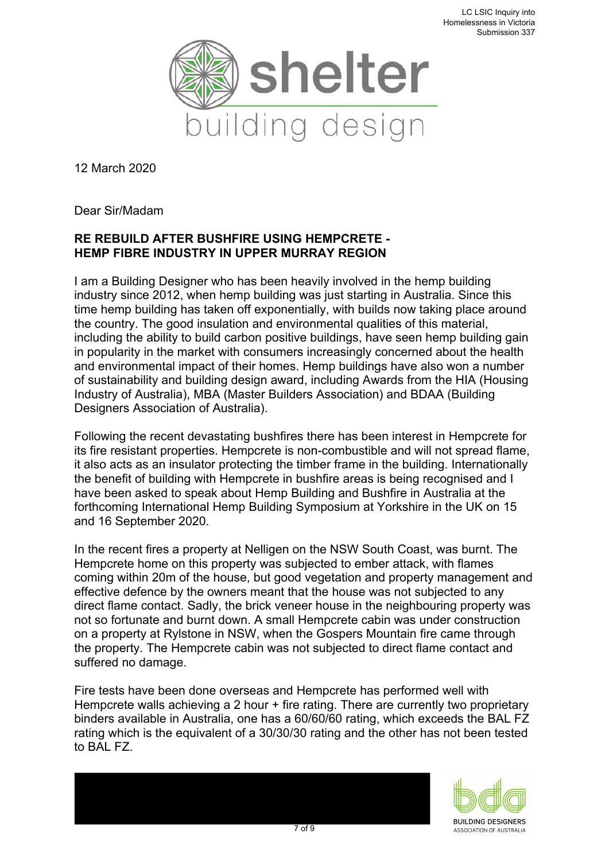

12 March 2020

Dear Sir/Madam

### **RE REBUILD AFTER BUSHFIRE USING HEMPCRETE - HEMP FIBRE INDUSTRY IN UPPER MURRAY REGION**

I am a Building Designer who has been heavily involved in the hemp building industry since 2012, when hemp building was just starting in Australia. Since this time hemp building has taken off exponentially, with builds now taking place around the country. The good insulation and environmental qualities of this material, including the ability to build carbon positive buildings, have seen hemp building gain in popularity in the market with consumers increasingly concerned about the health and environmental impact of their homes. Hemp buildings have also won a number of sustainability and building design award, including Awards from the HIA (Housing Industry of Australia), MBA (Master Builders Association) and BDAA (Building Designers Association of Australia).

Following the recent devastating bushfires there has been interest in Hempcrete for its fire resistant properties. Hempcrete is non-combustible and will not spread flame, it also acts as an insulator protecting the timber frame in the building. Internationally the benefit of building with Hempcrete in bushfire areas is being recognised and I have been asked to speak about Hemp Building and Bushfire in Australia at the forthcoming International Hemp Building Symposium at Yorkshire in the UK on 15 and 16 September 2020.

In the recent fires a property at Nelligen on the NSW South Coast, was burnt. The Hempcrete home on this property was subjected to ember attack, with flames coming within 20m of the house, but good vegetation and property management and effective defence by the owners meant that the house was not subjected to any direct flame contact. Sadly, the brick veneer house in the neighbouring property was not so fortunate and burnt down. A small Hempcrete cabin was under construction on a property at Rylstone in NSW, when the Gospers Mountain fire came through the property. The Hempcrete cabin was not subjected to direct flame contact and suffered no damage.

Fire tests have been done overseas and Hempcrete has performed well with Hempcrete walls achieving a 2 hour + fire rating. There are currently two proprietary binders available in Australia, one has a 60/60/60 rating, which exceeds the BAL FZ rating which is the equivalent of a 30/30/30 rating and the other has not been tested to BAL FZ.

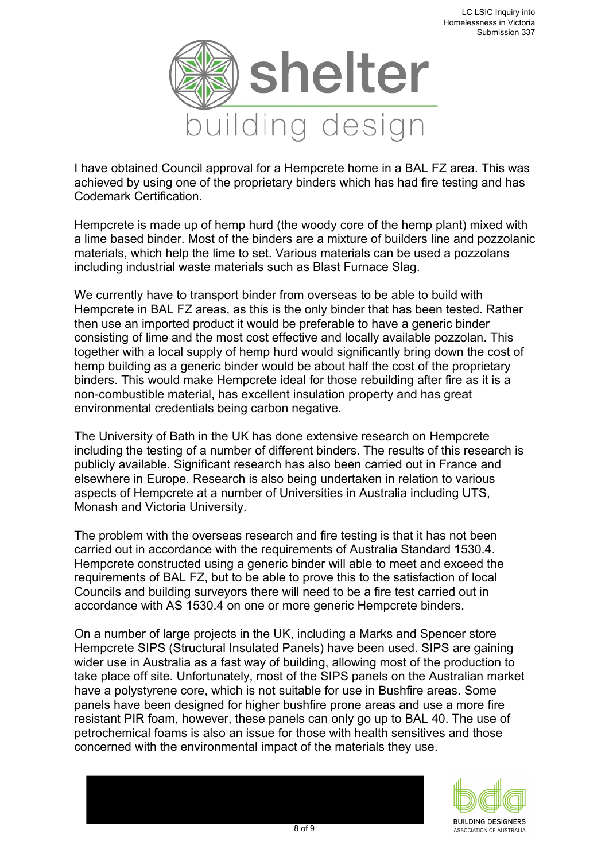

I have obtained Council approval for a Hempcrete home in a BAL FZ area. This was achieved by using one of the proprietary binders which has had fire testing and has Codemark Certification.

Hempcrete is made up of hemp hurd (the woody core of the hemp plant) mixed with a lime based binder. Most of the binders are a mixture of builders line and pozzolanic materials, which help the lime to set. Various materials can be used a pozzolans including industrial waste materials such as Blast Furnace Slag.

We currently have to transport binder from overseas to be able to build with Hempcrete in BAL FZ areas, as this is the only binder that has been tested. Rather then use an imported product it would be preferable to have a generic binder consisting of lime and the most cost effective and locally available pozzolan. This together with a local supply of hemp hurd would significantly bring down the cost of hemp building as a generic binder would be about half the cost of the proprietary binders. This would make Hempcrete ideal for those rebuilding after fire as it is a non-combustible material, has excellent insulation property and has great environmental credentials being carbon negative.

The University of Bath in the UK has done extensive research on Hempcrete including the testing of a number of different binders. The results of this research is publicly available. Significant research has also been carried out in France and elsewhere in Europe. Research is also being undertaken in relation to various aspects of Hempcrete at a number of Universities in Australia including UTS, Monash and Victoria University.

The problem with the overseas research and fire testing is that it has not been carried out in accordance with the requirements of Australia Standard 1530.4. Hempcrete constructed using a generic binder will able to meet and exceed the requirements of BAL FZ, but to be able to prove this to the satisfaction of local Councils and building surveyors there will need to be a fire test carried out in accordance with AS 1530.4 on one or more generic Hempcrete binders.

On a number of large projects in the UK, including a Marks and Spencer store Hempcrete SIPS (Structural Insulated Panels) have been used. SIPS are gaining wider use in Australia as a fast way of building, allowing most of the production to take place off site. Unfortunately, most of the SIPS panels on the Australian market have a polystyrene core, which is not suitable for use in Bushfire areas. Some panels have been designed for higher bushfire prone areas and use a more fire resistant PIR foam, however, these panels can only go up to BAL 40. The use of petrochemical foams is also an issue for those with health sensitives and those concerned with the environmental impact of the materials they use.